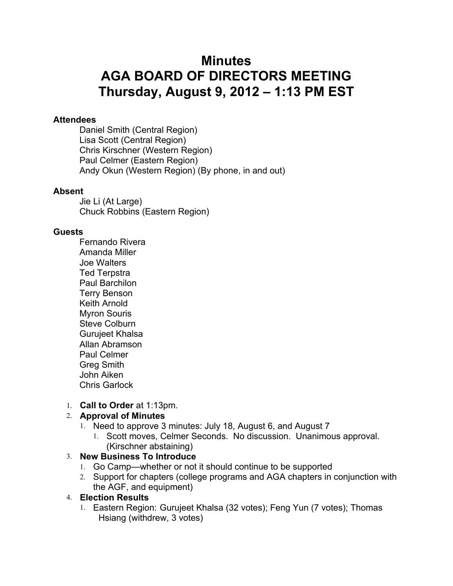# **Minutes AGA BOARD OF DIRECTORS MEETING Thursday, August 9, 2012 – 1:13 PM EST**

#### **Attendees**

Daniel Smith (Central Region) Lisa Scott (Central Region) Chris Kirschner (Western Region) Paul Celmer (Eastern Region) Andy Okun (Western Region) (By phone, in and out)

#### **Absent**

Jie Li (At Large) Chuck Robbins (Eastern Region)

#### **Guests**

Fernando Rivera Amanda Miller Joe Walters Ted Terpstra Paul Barchilon Terry Benson Keith Arnold Myron Souris Steve Colburn Gurujeet Khalsa Allan Abramson Paul Celmer Greg Smith John Aiken Chris Garlock

#### 1. **Call to Order** at 1:13pm.

#### 2. **Approval of Minutes**

- 1. Need to approve 3 minutes: July 18, August 6, and August 7
	- 1. Scott moves, Celmer Seconds. No discussion. Unanimous approval. (Kirschner abstaining)

#### 3. **New Business To Introduce**

- 1. Go Camp—whether or not it should continue to be supported
- 2. Support for chapters (college programs and AGA chapters in conjunction with the AGF, and equipment)

#### 4. **Election Results**

1. Eastern Region: Gurujeet Khalsa (32 votes); Feng Yun (7 votes); Thomas Hsiang (withdrew, 3 votes)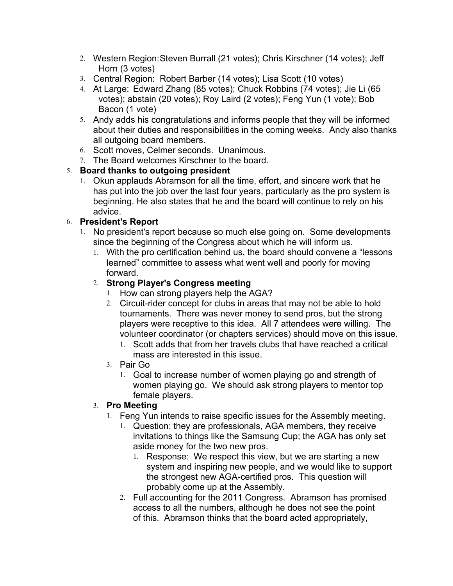- 2. Western Region:Steven Burrall (21 votes); Chris Kirschner (14 votes); Jeff Horn (3 votes)
- 3. Central Region: Robert Barber (14 votes); Lisa Scott (10 votes)
- 4. At Large: Edward Zhang (85 votes); Chuck Robbins (74 votes); Jie Li (65 votes); abstain (20 votes); Roy Laird (2 votes); Feng Yun (1 vote); Bob Bacon (1 vote)
- 5. Andy adds his congratulations and informs people that they will be informed about their duties and responsibilities in the coming weeks. Andy also thanks all outgoing board members.
- 6. Scott moves, Celmer seconds. Unanimous.
- 7. The Board welcomes Kirschner to the board.

## 5. **Board thanks to outgoing president**

1. Okun applauds Abramson for all the time, effort, and sincere work that he has put into the job over the last four years, particularly as the pro system is beginning. He also states that he and the board will continue to rely on his advice.

## 6. **President's Report**

- 1. No president's report because so much else going on. Some developments since the beginning of the Congress about which he will inform us.
	- 1. With the pro certification behind us, the board should convene a "lessons learned" committee to assess what went well and poorly for moving forward.

## 2. **Strong Player's Congress meeting**

- 1. How can strong players help the AGA?
- 2. Circuit-rider concept for clubs in areas that may not be able to hold tournaments. There was never money to send pros, but the strong players were receptive to this idea. All 7 attendees were willing. The volunteer coordinator (or chapters services) should move on this issue.
	- 1. Scott adds that from her travels clubs that have reached a critical mass are interested in this issue.
- 3. Pair Go
	- 1. Goal to increase number of women playing go and strength of women playing go. We should ask strong players to mentor top female players.

## 3. **Pro Meeting**

- 1. Feng Yun intends to raise specific issues for the Assembly meeting.
	- 1. Question: they are professionals, AGA members, they receive invitations to things like the Samsung Cup; the AGA has only set aside money for the two new pros.
		- 1. Response: We respect this view, but we are starting a new system and inspiring new people, and we would like to support the strongest new AGA-certified pros. This question will probably come up at the Assembly.
	- 2. Full accounting for the 2011 Congress. Abramson has promised access to all the numbers, although he does not see the point of this. Abramson thinks that the board acted appropriately,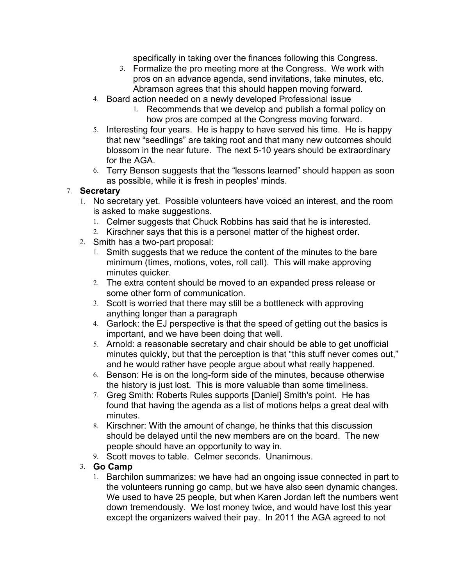specifically in taking over the finances following this Congress.

- 3. Formalize the pro meeting more at the Congress. We work with pros on an advance agenda, send invitations, take minutes, etc. Abramson agrees that this should happen moving forward.
- 4. Board action needed on a newly developed Professional issue
	- 1. Recommends that we develop and publish a formal policy on how pros are comped at the Congress moving forward.
- 5. Interesting four years. He is happy to have served his time. He is happy that new "seedlings" are taking root and that many new outcomes should blossom in the near future. The next 5-10 years should be extraordinary for the AGA.
- 6. Terry Benson suggests that the "lessons learned" should happen as soon as possible, while it is fresh in peoples' minds.

#### 7. **Secretary**

- 1. No secretary yet. Possible volunteers have voiced an interest, and the room is asked to make suggestions.
	- 1. Celmer suggests that Chuck Robbins has said that he is interested.
	- 2. Kirschner says that this is a personel matter of the highest order.
- 2. Smith has a two-part proposal:
	- 1. Smith suggests that we reduce the content of the minutes to the bare minimum (times, motions, votes, roll call). This will make approving minutes quicker.
	- 2. The extra content should be moved to an expanded press release or some other form of communication.
	- 3. Scott is worried that there may still be a bottleneck with approving anything longer than a paragraph
	- 4. Garlock: the EJ perspective is that the speed of getting out the basics is important, and we have been doing that well.
	- 5. Arnold: a reasonable secretary and chair should be able to get unofficial minutes quickly, but that the perception is that "this stuff never comes out," and he would rather have people argue about what really happened.
	- 6. Benson: He is on the long-form side of the minutes, because otherwise the history is just lost. This is more valuable than some timeliness.
	- 7. Greg Smith: Roberts Rules supports [Daniel] Smith's point. He has found that having the agenda as a list of motions helps a great deal with minutes.
	- 8. Kirschner: With the amount of change, he thinks that this discussion should be delayed until the new members are on the board. The new people should have an opportunity to way in.
	- 9. Scott moves to table. Celmer seconds. Unanimous.

## 3. **Go Camp**

1. Barchilon summarizes: we have had an ongoing issue connected in part to the volunteers running go camp, but we have also seen dynamic changes. We used to have 25 people, but when Karen Jordan left the numbers went down tremendously. We lost money twice, and would have lost this year except the organizers waived their pay. In 2011 the AGA agreed to not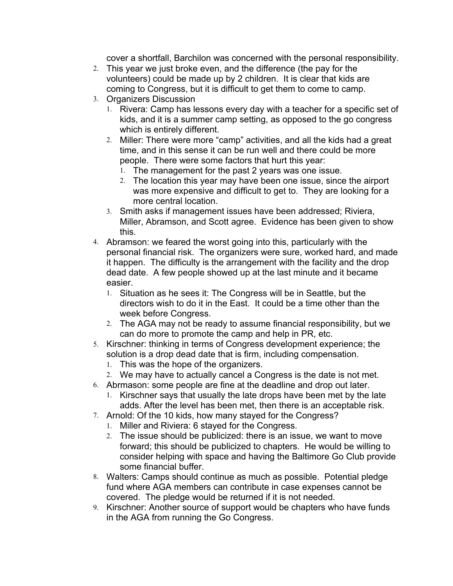cover a shortfall, Barchilon was concerned with the personal responsibility.

- 2. This year we just broke even, and the difference (the pay for the volunteers) could be made up by 2 children. It is clear that kids are coming to Congress, but it is difficult to get them to come to camp.
- 3. Organizers Discussion
	- 1. Rivera: Camp has lessons every day with a teacher for a specific set of kids, and it is a summer camp setting, as opposed to the go congress which is entirely different.
	- 2. Miller: There were more "camp" activities, and all the kids had a great time, and in this sense it can be run well and there could be more people. There were some factors that hurt this year:
		- 1. The management for the past 2 years was one issue.
		- 2. The location this year may have been one issue, since the airport was more expensive and difficult to get to. They are looking for a more central location.
	- 3. Smith asks if management issues have been addressed; Riviera, Miller, Abramson, and Scott agree. Evidence has been given to show this.
- 4. Abramson: we feared the worst going into this, particularly with the personal financial risk. The organizers were sure, worked hard, and made it happen. The difficulty is the arrangement with the facility and the drop dead date. A few people showed up at the last minute and it became easier.
	- 1. Situation as he sees it: The Congress will be in Seattle, but the directors wish to do it in the East. It could be a time other than the week before Congress.
	- 2. The AGA may not be ready to assume financial responsibility, but we can do more to promote the camp and help in PR, etc.
- 5. Kirschner: thinking in terms of Congress development experience; the solution is a drop dead date that is firm, including compensation.
	- 1. This was the hope of the organizers.
	- 2. We may have to actually cancel a Congress is the date is not met.
- 6. Abrmason: some people are fine at the deadline and drop out later.
	- 1. Kirschner says that usually the late drops have been met by the late adds. After the level has been met, then there is an acceptable risk.
- 7. Arnold: Of the 10 kids, how many stayed for the Congress?
	- 1. Miller and Riviera: 6 stayed for the Congress.
	- 2. The issue should be publicized: there is an issue, we want to move forward; this should be publicized to chapters. He would be willing to consider helping with space and having the Baltimore Go Club provide some financial buffer.
- 8. Walters: Camps should continue as much as possible. Potential pledge fund where AGA members can contribute in case expenses cannot be covered. The pledge would be returned if it is not needed.
- 9. Kirschner: Another source of support would be chapters who have funds in the AGA from running the Go Congress.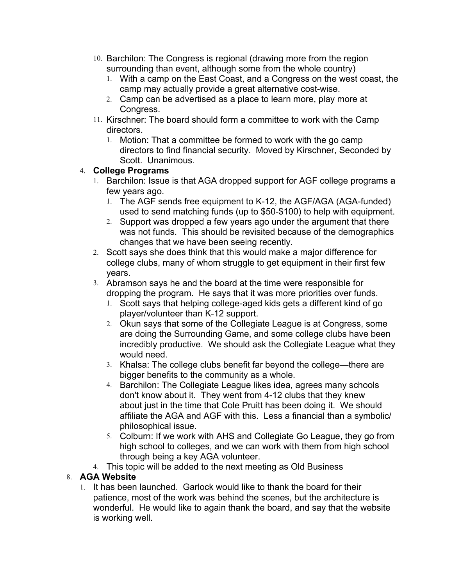- 10. Barchilon: The Congress is regional (drawing more from the region surrounding than event, although some from the whole country)
	- 1. With a camp on the East Coast, and a Congress on the west coast, the camp may actually provide a great alternative cost-wise.
	- 2. Camp can be advertised as a place to learn more, play more at Congress.
- 11. Kirschner: The board should form a committee to work with the Camp directors.
	- 1. Motion: That a committee be formed to work with the go camp directors to find financial security. Moved by Kirschner, Seconded by Scott. Unanimous.

## 4. **College Programs**

- 1. Barchilon: Issue is that AGA dropped support for AGF college programs a few years ago.
	- 1. The AGF sends free equipment to K-12, the AGF/AGA (AGA-funded) used to send matching funds (up to \$50-\$100) to help with equipment.
	- 2. Support was dropped a few years ago under the argument that there was not funds. This should be revisited because of the demographics changes that we have been seeing recently.
- 2. Scott says she does think that this would make a major difference for college clubs, many of whom struggle to get equipment in their first few years.
- 3. Abramson says he and the board at the time were responsible for dropping the program. He says that it was more priorities over funds.
	- 1. Scott says that helping college-aged kids gets a different kind of go player/volunteer than K-12 support.
	- 2. Okun says that some of the Collegiate League is at Congress, some are doing the Surrounding Game, and some college clubs have been incredibly productive. We should ask the Collegiate League what they would need.
	- 3. Khalsa: The college clubs benefit far beyond the college—there are bigger benefits to the community as a whole.
	- 4. Barchilon: The Collegiate League likes idea, agrees many schools don't know about it. They went from 4-12 clubs that they knew about just in the time that Cole Pruitt has been doing it. We should affiliate the AGA and AGF with this. Less a financial than a symbolic/ philosophical issue.
	- 5. Colburn: If we work with AHS and Collegiate Go League, they go from high school to colleges, and we can work with them from high school through being a key AGA volunteer.
- 4. This topic will be added to the next meeting as Old Business

## 8. **AGA Website**

1. It has been launched. Garlock would like to thank the board for their patience, most of the work was behind the scenes, but the architecture is wonderful. He would like to again thank the board, and say that the website is working well.